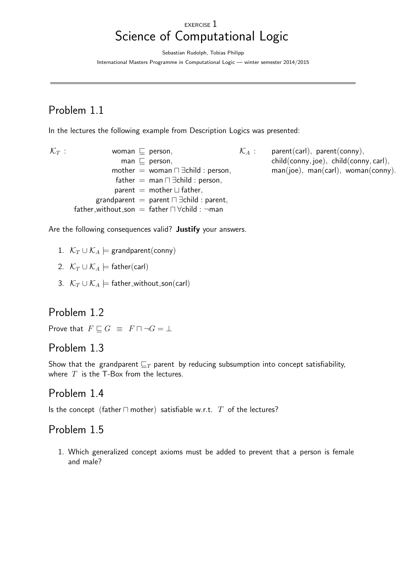#### EXERCISE 1 Science of Computational Logic

Sebastian Rudolph, Tobias Philipp

International Masters Programme in Computational Logic — winter semester 2014/2015

# Problem 1.1

In the lectures the following example from Description Logics was presented:

- $\mathcal{K}_T$  : woman  $\sqsubseteq$  person, man  $\sqsubseteq$  person, mother = woman  $\Box$   $\exists$ child : person, father = man  $\Box$   $\exists$ child : person, parent = mother  $\sqcup$  father, grandparent = parent  $\Box$   $\exists$ child : parent, father\_without\_son = father  $\Box$   $\forall$ child :  $\neg$ man
	- $\mathcal{K}_A$  : parent(carl), parent(conny), child(conny, joe), child(conny, carl),  $man($ ioe), man(carl), woman(conny).

Are the following consequences valid? Justify your answers.

- 1.  $\mathcal{K}_T \cup \mathcal{K}_A$   $\models$  grandparent(conny)
- 2.  $\mathcal{K}_T \cup \mathcal{K}_A \models$  father(carl)
- 3.  $\mathcal{K}_T \cup \mathcal{K}_A$   $\models$  father\_without\_son(carl)

#### Problem 1.2

Prove that  $F \sqsubset G \equiv F \sqcap \neg G = \bot$ 

#### Problem 1.3

Show that the grandparent  $\mathbb{Z}_T$  parent by reducing subsumption into concept satisfiability, where  $T$  is the T-Box from the lectures.

#### Problem 1.4

Is the concept (father  $\sqcap$  mother) satisfiable w.r.t.  $T$  of the lectures?

## Problem 1.5

1. Which generalized concept axioms must be added to prevent that a person is female and male?